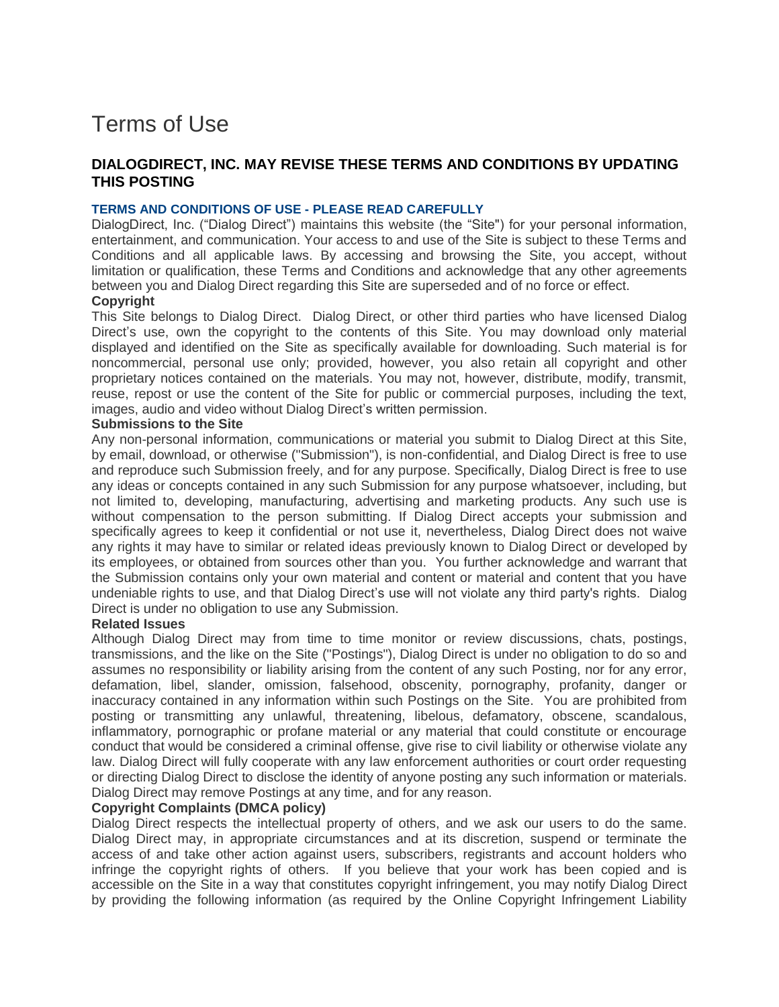# Terms of Use

## **DIALOGDIRECT, INC. MAY REVISE THESE TERMS AND CONDITIONS BY UPDATING THIS POSTING**

#### **TERMS AND CONDITIONS OF USE - PLEASE READ CAREFULLY**

DialogDirect, Inc. ("Dialog Direct") maintains this website (the "Site") for your personal information, entertainment, and communication. Your access to and use of the Site is subject to these Terms and Conditions and all applicable laws. By accessing and browsing the Site, you accept, without limitation or qualification, these Terms and Conditions and acknowledge that any other agreements between you and Dialog Direct regarding this Site are superseded and of no force or effect.

#### **Copyright**

This Site belongs to Dialog Direct. Dialog Direct, or other third parties who have licensed Dialog Direct's use, own the copyright to the contents of this Site. You may download only material displayed and identified on the Site as specifically available for downloading. Such material is for noncommercial, personal use only; provided, however, you also retain all copyright and other proprietary notices contained on the materials. You may not, however, distribute, modify, transmit, reuse, repost or use the content of the Site for public or commercial purposes, including the text, images, audio and video without Dialog Direct's written permission.

#### **Submissions to the Site**

Any non-personal information, communications or material you submit to Dialog Direct at this Site, by email, download, or otherwise ("Submission"), is non-confidential, and Dialog Direct is free to use and reproduce such Submission freely, and for any purpose. Specifically, Dialog Direct is free to use any ideas or concepts contained in any such Submission for any purpose whatsoever, including, but not limited to, developing, manufacturing, advertising and marketing products. Any such use is without compensation to the person submitting. If Dialog Direct accepts your submission and specifically agrees to keep it confidential or not use it, nevertheless, Dialog Direct does not waive any rights it may have to similar or related ideas previously known to Dialog Direct or developed by its employees, or obtained from sources other than you. You further acknowledge and warrant that the Submission contains only your own material and content or material and content that you have undeniable rights to use, and that Dialog Direct's use will not violate any third party's rights. Dialog Direct is under no obligation to use any Submission.

#### **Related Issues**

Although Dialog Direct may from time to time monitor or review discussions, chats, postings, transmissions, and the like on the Site ("Postings"), Dialog Direct is under no obligation to do so and assumes no responsibility or liability arising from the content of any such Posting, nor for any error, defamation, libel, slander, omission, falsehood, obscenity, pornography, profanity, danger or inaccuracy contained in any information within such Postings on the Site. You are prohibited from posting or transmitting any unlawful, threatening, libelous, defamatory, obscene, scandalous, inflammatory, pornographic or profane material or any material that could constitute or encourage conduct that would be considered a criminal offense, give rise to civil liability or otherwise violate any law. Dialog Direct will fully cooperate with any law enforcement authorities or court order requesting or directing Dialog Direct to disclose the identity of anyone posting any such information or materials. Dialog Direct may remove Postings at any time, and for any reason.

#### **Copyright Complaints (DMCA policy)**

Dialog Direct respects the intellectual property of others, and we ask our users to do the same. Dialog Direct may, in appropriate circumstances and at its discretion, suspend or terminate the access of and take other action against users, subscribers, registrants and account holders who infringe the copyright rights of others. If you believe that your work has been copied and is accessible on the Site in a way that constitutes copyright infringement, you may notify Dialog Direct by providing the following information (as required by the Online Copyright Infringement Liability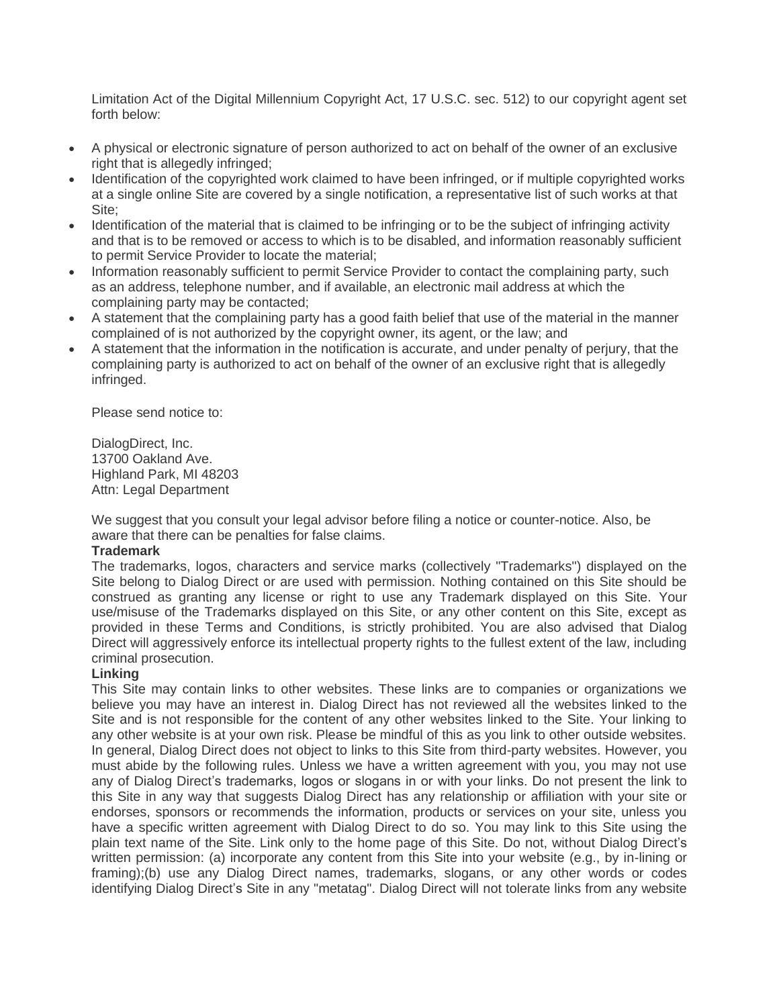Limitation Act of the Digital Millennium Copyright Act, 17 U.S.C. sec. 512) to our copyright agent set forth below:

- A physical or electronic signature of person authorized to act on behalf of the owner of an exclusive right that is allegedly infringed;
- Identification of the copyrighted work claimed to have been infringed, or if multiple copyrighted works at a single online Site are covered by a single notification, a representative list of such works at that Site;
- Identification of the material that is claimed to be infringing or to be the subject of infringing activity and that is to be removed or access to which is to be disabled, and information reasonably sufficient to permit Service Provider to locate the material;
- Information reasonably sufficient to permit Service Provider to contact the complaining party, such as an address, telephone number, and if available, an electronic mail address at which the complaining party may be contacted;
- A statement that the complaining party has a good faith belief that use of the material in the manner complained of is not authorized by the copyright owner, its agent, or the law; and
- A statement that the information in the notification is accurate, and under penalty of perjury, that the complaining party is authorized to act on behalf of the owner of an exclusive right that is allegedly infringed.

Please send notice to:

DialogDirect, Inc. 13700 Oakland Ave. Highland Park, MI 48203 Attn: Legal Department

We suggest that you consult your legal advisor before filing a notice or counter-notice. Also, be aware that there can be penalties for false claims.

#### **Trademark**

The trademarks, logos, characters and service marks (collectively "Trademarks") displayed on the Site belong to Dialog Direct or are used with permission. Nothing contained on this Site should be construed as granting any license or right to use any Trademark displayed on this Site. Your use/misuse of the Trademarks displayed on this Site, or any other content on this Site, except as provided in these Terms and Conditions, is strictly prohibited. You are also advised that Dialog Direct will aggressively enforce its intellectual property rights to the fullest extent of the law, including criminal prosecution.

## **Linking**

This Site may contain links to other websites. These links are to companies or organizations we believe you may have an interest in. Dialog Direct has not reviewed all the websites linked to the Site and is not responsible for the content of any other websites linked to the Site. Your linking to any other website is at your own risk. Please be mindful of this as you link to other outside websites. In general, Dialog Direct does not object to links to this Site from third-party websites. However, you must abide by the following rules. Unless we have a written agreement with you, you may not use any of Dialog Direct's trademarks, logos or slogans in or with your links. Do not present the link to this Site in any way that suggests Dialog Direct has any relationship or affiliation with your site or endorses, sponsors or recommends the information, products or services on your site, unless you have a specific written agreement with Dialog Direct to do so. You may link to this Site using the plain text name of the Site. Link only to the home page of this Site. Do not, without Dialog Direct's written permission: (a) incorporate any content from this Site into your website (e.g., by in-lining or framing);(b) use any Dialog Direct names, trademarks, slogans, or any other words or codes identifying Dialog Direct's Site in any "metatag". Dialog Direct will not tolerate links from any website